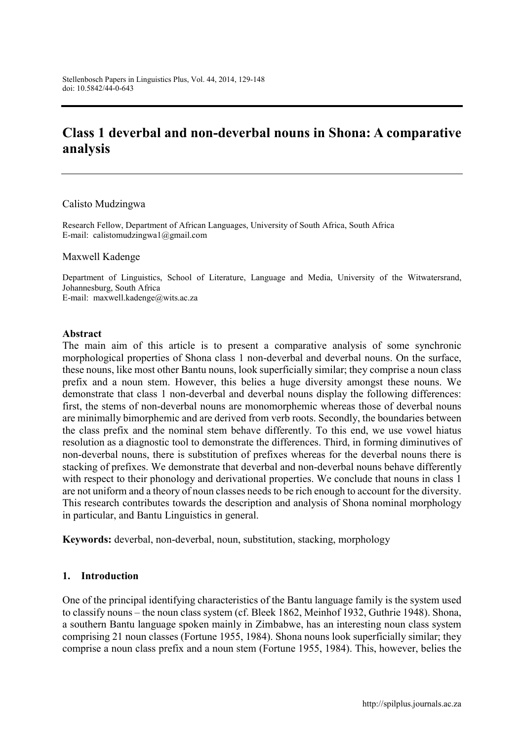# **Class 1 deverbal and non-deverbal nouns in Shona: A comparative analysis**

#### Calisto Mudzingwa

Research Fellow, Department of African Languages, University of South Africa, South Africa E-mail: [calistomudzingwa1@gmail.com](mailto:calistomudzingwa1@gmail.com)

#### Maxwell Kadenge

Department of Linguistics, School of Literature, Language and Media, University of the Witwatersrand, Johannesburg, South Africa E-mail: [maxwell.kadenge@wits.ac.za](mailto:maxwell.kadenge@wits.ac.za)

#### **Abstract**

The main aim of this article is to present a comparative analysis of some synchronic morphological properties of Shona class 1 non-deverbal and deverbal nouns. On the surface, these nouns, like most other Bantu nouns, look superficially similar; they comprise a noun class prefix and a noun stem. However, this belies a huge diversity amongst these nouns. We demonstrate that class 1 non-deverbal and deverbal nouns display the following differences: first, the stems of non-deverbal nouns are monomorphemic whereas those of deverbal nouns are minimally bimorphemic and are derived from verb roots. Secondly, the boundaries between the class prefix and the nominal stem behave differently. To this end, we use vowel hiatus resolution as a diagnostic tool to demonstrate the differences. Third, in forming diminutives of non-deverbal nouns, there is substitution of prefixes whereas for the deverbal nouns there is stacking of prefixes. We demonstrate that deverbal and non-deverbal nouns behave differently with respect to their phonology and derivational properties. We conclude that nouns in class 1 are not uniform and a theory of noun classes needs to be rich enough to account for the diversity. This research contributes towards the description and analysis of Shona nominal morphology in particular, and Bantu Linguistics in general.

**Keywords:** deverbal, non-deverbal, noun, substitution, stacking, morphology

#### **1. Introduction**

One of the principal identifying characteristics of the Bantu language family is the system used to classify nouns – the noun class system (cf. Bleek 1862, Meinhof 1932, Guthrie 1948). Shona, a southern Bantu language spoken mainly in Zimbabwe, has an interesting noun class system comprising 21 noun classes (Fortune 1955, 1984). Shona nouns look superficially similar; they comprise a noun class prefix and a noun stem (Fortune 1955, 1984). This, however, belies the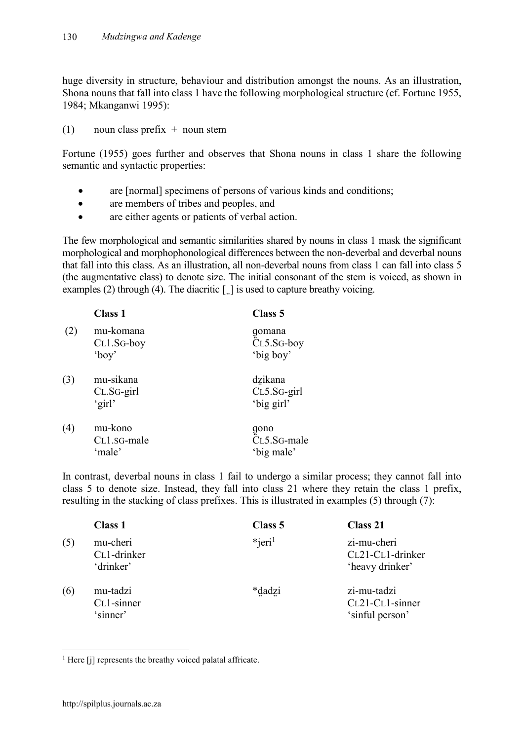huge diversity in structure, behaviour and distribution amongst the nouns. As an illustration, Shona nouns that fall into class 1 have the following morphological structure (cf. Fortune 1955, 1984; Mkanganwi 1995):

(1) noun class prefix  $+$  noun stem

Fortune (1955) goes further and observes that Shona nouns in class 1 share the following semantic and syntactic properties:

- are [normal] specimens of persons of various kinds and conditions;
- are members of tribes and peoples, and
- are either agents or patients of verbal action.

The few morphological and semantic similarities shared by nouns in class 1 mask the significant morphological and morphophonological differences between the non-deverbal and deverbal nouns that fall into this class. As an illustration, all non-deverbal nouns from class 1 can fall into class 5 (the augmentative class) to denote size. The initial consonant of the stem is voiced, as shown in examples (2) through (4). The diacritic  $\lceil \cdot \rceil$  is used to capture breathy voicing.

|     | <b>Class 1</b>                       | Class 5                                 |
|-----|--------------------------------------|-----------------------------------------|
| (2) | mu-komana<br>$CL1.SG-boy$<br>'boy'   | gomana<br>CL5.SG-boy<br>'big boy'       |
| (3) | mu-sikana<br>$CL.SG$ -girl<br>'girl' | dzikana<br>$CL5.SG$ -girl<br>'big girl' |
| (4) | mu-kono<br>CL1.sG-male<br>'male'     | gono<br>CL5.SG-male<br>'big male'       |

In contrast, deverbal nouns in class 1 fail to undergo a similar process; they cannot fall into class 5 to denote size. Instead, they fall into class 21 where they retain the class 1 prefix, resulting in the stacking of class prefixes. This is illustrated in examples (5) through (7):

|     | <b>Class 1</b>                                    | Class 5               | <b>Class 21</b>                                    |
|-----|---------------------------------------------------|-----------------------|----------------------------------------------------|
| (5) | mu-cheri<br>C <sub>L</sub> 1-drinker<br>'drinker' | $*$ ieri <sup>1</sup> | zi-mu-cheri<br>CL21-CL1-drinker<br>'heavy drinker' |
| (6) | mu-tadzi<br>C <sub>L</sub> 1-sinner<br>'sinner'   | *dadzi                | zi-mu-tadzi<br>CL21-CL1-sinner<br>'sinful person'  |

<sup>&</sup>lt;sup>1</sup> Here [j] represents the breathy voiced palatal affricate.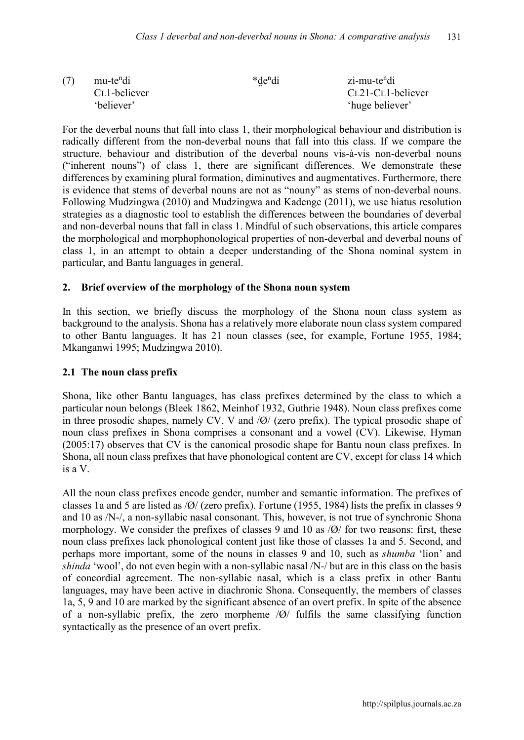| (7) | mu-te <sup>n</sup> di     | *de <sup>n</sup> di | zi-mu-te <sup>n</sup> di |
|-----|---------------------------|---------------------|--------------------------|
|     | C <sub>L</sub> 1-believer |                     | CL21-CL1-believer        |
|     | 'believer'                |                     | 'huge believer'          |

For the deverbal nouns that fall into class 1, their morphological behaviour and distribution is radically different from the non-deverbal nouns that fall into this class. If we compare the structure, behaviour and distribution of the deverbal nouns vis-à-vis non-deverbal nouns ("inherent nouns") of class 1, there are significant differences. We demonstrate these differences by examining plural formation, diminutives and augmentatives. Furthermore, there is evidence that stems of deverbal nouns are not as "nouny" as stems of non-deverbal nouns. Following Mudzingwa (2010) and Mudzingwa and Kadenge (2011), we use hiatus resolution strategies as a diagnostic tool to establish the differences between the boundaries of deverbal and non-deverbal nouns that fall in class 1. Mindful of such observations, this article compares the morphological and morphophonological properties of non-deverbal and deverbal nouns of class 1, in an attempt to obtain a deeper understanding of the Shona nominal system in particular, and Bantu languages in general.

#### **2. Brief overview of the morphology of the Shona noun system**

In this section, we briefly discuss the morphology of the Shona noun class system as background to the analysis. Shona has a relatively more elaborate noun class system compared to other Bantu languages. It has 21 noun classes (see, for example, Fortune 1955, 1984; Mkanganwi 1995; Mudzingwa 2010).

### **2.1 The noun class prefix**

Shona, like other Bantu languages, has class prefixes determined by the class to which a particular noun belongs (Bleek 1862, Meinhof 1932, Guthrie 1948). Noun class prefixes come in three prosodic shapes, namely CV, V and /Ø/ (zero prefix). The typical prosodic shape of noun class prefixes in Shona comprises a consonant and a vowel (CV). Likewise, Hyman (2005:17) observes that CV is the canonical prosodic shape for Bantu noun class prefixes. In Shona, all noun class prefixes that have phonological content are CV, except for class 14 which is a V.

All the noun class prefixes encode gender, number and semantic information. The prefixes of classes 1a and 5 are listed as /Ø/ (zero prefix). Fortune (1955, 1984) lists the prefix in classes 9 and 10 as /N-/, a non-syllabic nasal consonant. This, however, is not true of synchronic Shona morphology. We consider the prefixes of classes 9 and 10 as /Ø/ for two reasons: first, these noun class prefixes lack phonological content just like those of classes 1a and 5. Second, and perhaps more important, some of the nouns in classes 9 and 10, such as *shumba* 'lion' and *shinda* 'wool', do not even begin with a non-syllabic nasal /N-/ but are in this class on the basis of concordial agreement. The non-syllabic nasal, which is a class prefix in other Bantu languages, may have been active in diachronic Shona. Consequently, the members of classes 1a, 5, 9 and 10 are marked by the significant absence of an overt prefix. In spite of the absence of a non-syllabic prefix, the zero morpheme /Ø/ fulfils the same classifying function syntactically as the presence of an overt prefix.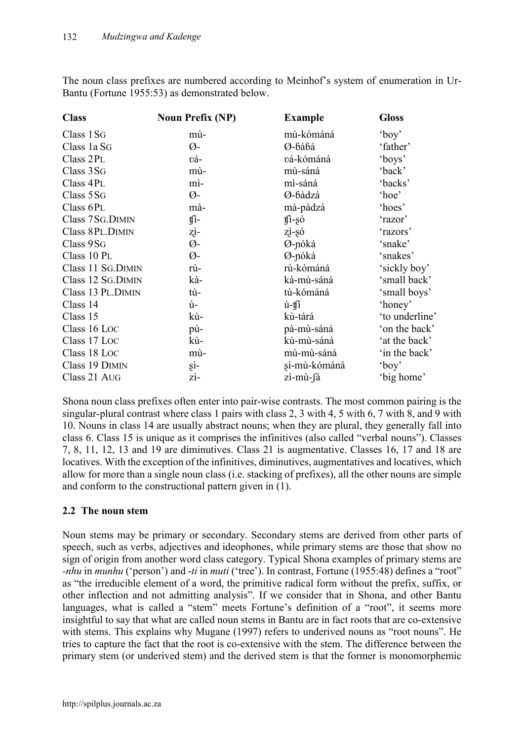The noun class prefixes are numbered according to Meinhof's system of enumeration in Ur-Bantu (Fortune 1955:53) as demonstrated below.

| <b>Class</b>       | <b>Noun Prefix (NP)</b> | <b>Example</b> | <b>Gloss</b>   |
|--------------------|-------------------------|----------------|----------------|
| Class 1SG          | mù-                     | mù-kómáná      | $'$ boy'       |
| Class 1a SG        | Ø-                      | Ø-bàbá         | 'father'       |
| Class 2PL          | vá-                     | vá-kómáná      | 'boys'         |
| Class 3 SG         | mù-                     | mù-sáná        | 'back'         |
| Class 4PL          | mì-                     | mì-sáná        | 'backs'        |
| Class 5SG          | Ø-                      | Ø-bàdzá        | 'hoe'          |
| Class 6PL          | mà-                     | mà-pàdzá       | 'hoes'         |
| Class 7SG.DIMIN    | $\int$                  | $t\hat{1}$ -só | 'razor'        |
| Class 8PL.DIMIN    | zì-                     | zi-só          | 'razors'       |
| Class 9SG          | Ø-                      | Ø-nóká         | 'snake'        |
| Class 10 PL        | Ø-                      | Ø-nóká         | 'snakes'       |
| Class 11 SG. DIMIN | rù-                     | rù-kómáná      | 'sickly boy'   |
| Class 12 SG.DIMIN  | kà-                     | kà-mù-sáná     | 'small back'   |
| Class 13 PL.DIMIN  | tù-                     | tù-kómáná      | 'small boys'   |
| Class 14           | ù-                      | ù-ti           | 'honey'        |
| Class 15           | kù-                     | kù-tárá        | 'to underline' |
| Class 16 Loc       | pù-                     | pà-mù-sáná     | 'on the back'  |
| Class 17 Loc       | kù-                     | kù-mù-sáná     | 'at the back'  |
| Class 18 Loc       | mù-                     | mù-mù-sáná     | 'in the back'  |
| Class 19 DIMIN     | şì-                     | sì-mù-kómáná   | $'$ boy'       |
| Class 21 AUG       | zì-                     | zì-mù-fá       | 'big home'     |

Shona noun class prefixes often enter into pair-wise contrasts. The most common pairing is the singular-plural contrast where class 1 pairs with class 2, 3 with 4, 5 with 6, 7 with 8, and 9 with 10. Nouns in class 14 are usually abstract nouns; when they are plural, they generally fall into class 6. Class 15 is unique as it comprises the infinitives (also called "verbal nouns"). Classes 7, 8, 11, 12, 13 and 19 are diminutives. Class 21 is augmentative. Classes 16, 17 and 18 are locatives. With the exception of the infinitives, diminutives, augmentatives and locatives, which allow for more than a single noun class (i.e. stacking of prefixes), all the other nouns are simple and conform to the constructional pattern given in (1).

# **2.2 The noun stem**

Noun stems may be primary or secondary. Secondary stems are derived from other parts of speech, such as verbs, adjectives and ideophones, while primary stems are those that show no sign of origin from another word class category. Typical Shona examples of primary stems are *-nhu* in *munhu* ('person') and -*ti* in *muti* ('tree'). In contrast, Fortune (1955:48) defines a "root" as "the irreducible element of a word, the primitive radical form without the prefix, suffix, or other inflection and not admitting analysis". If we consider that in Shona, and other Bantu languages, what is called a "stem" meets Fortune's definition of a "root", it seems more insightful to say that what are called noun stems in Bantu are in fact roots that are co-extensive with stems. This explains why Mugane (1997) refers to underived nouns as "root nouns". He tries to capture the fact that the root is co-extensive with the stem. The difference between the primary stem (or underived stem) and the derived stem is that the former is monomorphemic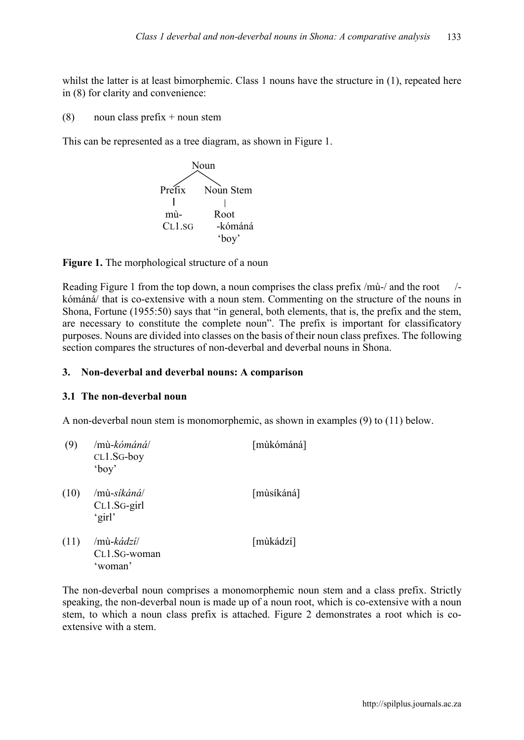whilst the latter is at least bimorphemic. Class 1 nouns have the structure in  $(1)$ , repeated here in (8) for clarity and convenience:

(8) noun class prefix  $+$  noun stem

This can be represented as a tree diagram, as shown in Figure 1.



**Figure 1.** The morphological structure of a noun

Reading Figure 1 from the top down, a noun comprises the class prefix /mù-/ and the root /kómáná/ that is co-extensive with a noun stem. Commenting on the structure of the nouns in Shona, Fortune (1955:50) says that "in general, both elements, that is, the prefix and the stem, are necessary to constitute the complete noun". The prefix is important for classificatory purposes. Nouns are divided into classes on the basis of their noun class prefixes. The following section compares the structures of non-deverbal and deverbal nouns in Shona.

#### **3. Non-deverbal and deverbal nouns: A comparison**

#### **3.1 The non-deverbal noun**

A non-deverbal noun stem is monomorphemic, as shown in examples (9) to (11) below.

| (9)  | /mù-kó <i>máná</i> /<br>$CL1.SG-boy$<br>'boy'       | [mùkómáná] |
|------|-----------------------------------------------------|------------|
| (10) | $/m\`u\text{-}s$ íkáná/<br>$CL1.SG$ -girl<br>'girl' | [mùsíkáná] |
| (11) | /mù-kádzí/<br>CL1.SG-woman<br>'woman'               | [mùkádzí]  |

The non-deverbal noun comprises a monomorphemic noun stem and a class prefix. Strictly speaking, the non-deverbal noun is made up of a noun root, which is co-extensive with a noun stem, to which a noun class prefix is attached. Figure 2 demonstrates a root which is coextensive with a stem.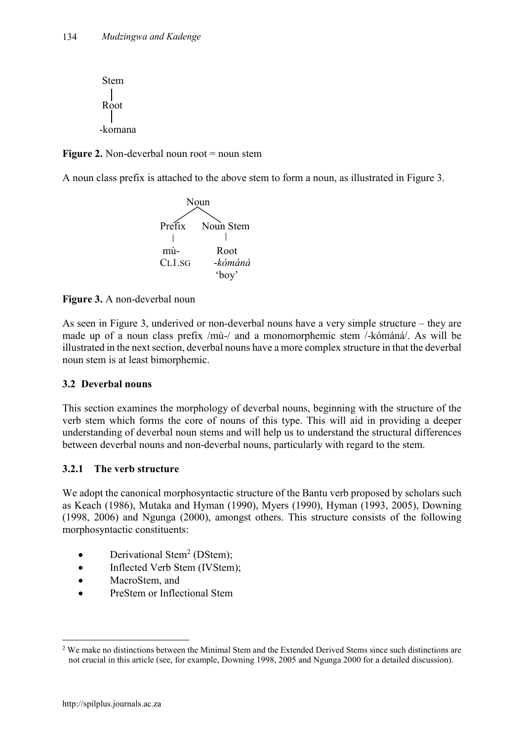

**Figure 2.** Non-deverbal noun root = noun stem

A noun class prefix is attached to the above stem to form a noun, as illustrated in Figure 3.



**Figure 3.** A non-deverbal noun

As seen in Figure 3, underived or non-deverbal nouns have a very simple structure – they are made up of a noun class prefix /mù-/ and a monomorphemic stem /-kómáná/. As will be illustrated in the next section, deverbal nouns have a more complex structure in that the deverbal noun stem is at least bimorphemic.

# **3.2 Deverbal nouns**

This section examines the morphology of deverbal nouns, beginning with the structure of the verb stem which forms the core of nouns of this type. This will aid in providing a deeper understanding of deverbal noun stems and will help us to understand the structural differences between deverbal nouns and non-deverbal nouns, particularly with regard to the stem.

# **3.2.1 The verb structure**

We adopt the canonical morphosyntactic structure of the Bantu verb proposed by scholars such as Keach (1986), Mutaka and Hyman (1990), Myers (1990), Hyman (1993, 2005), Downing (1998, 2006) and Ngunga (2000), amongst others. This structure consists of the following morphosyntactic constituents:

- $\bullet$  Derivational Stem<sup>2</sup> (DStem);
- Inflected Verb Stem (IVStem);
- MacroStem, and
- PreStem or Inflectional Stem

<sup>&</sup>lt;sup>2</sup> We make no distinctions between the Minimal Stem and the Extended Derived Stems since such distinctions are not crucial in this article (see, for example, Downing 1998, 2005 and Ngunga 2000 for a detailed discussion).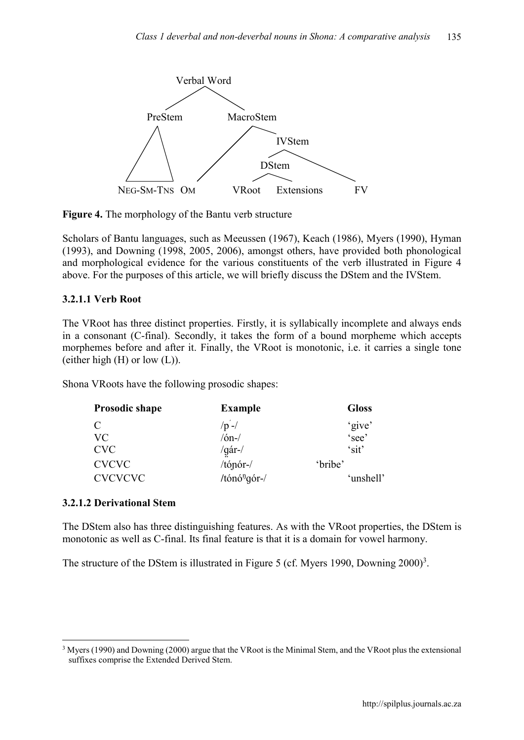

**Figure 4.** The morphology of the Bantu verb structure

Scholars of Bantu languages, such as Meeussen (1967), Keach (1986), Myers (1990), Hyman (1993), and Downing (1998, 2005, 2006), amongst others, have provided both phonological and morphological evidence for the various constituents of the verb illustrated in Figure 4 above. For the purposes of this article, we will briefly discuss the DStem and the IVStem.

# **3.2.1.1 Verb Root**

The VRoot has three distinct properties. Firstly, it is syllabically incomplete and always ends in a consonant (C-final). Secondly, it takes the form of a bound morpheme which accepts morphemes before and after it. Finally, the VRoot is monotonic, i.e. it carries a single tone (either high  $(H)$  or low  $(L)$ ).

Shona VRoots have the following prosodic shapes:

| <b>Example</b>           | <b>Gloss</b> |
|--------------------------|--------------|
| $/p -/$                  | 'give'       |
| $/6n$ - $/$              | 'see'        |
| /gár-/                   | 'sit'        |
| $/$ tópór- $/$           | 'bribe'      |
| /tónó <sup>n</sup> gór-/ | 'unshell'    |
|                          |              |

# **3.2.1.2 Derivational Stem**

The DStem also has three distinguishing features. As with the VRoot properties, the DStem is monotonic as well as C-final. Its final feature is that it is a domain for vowel harmony.

The structure of the DStem is illustrated in Figure 5 (cf. Myers 1990, Downing  $2000$ <sup>3</sup>.

 <sup>3</sup> Myers (1990) and Downing (2000) argue that the VRoot is the Minimal Stem, and the VRoot plus the extensional suffixes comprise the Extended Derived Stem.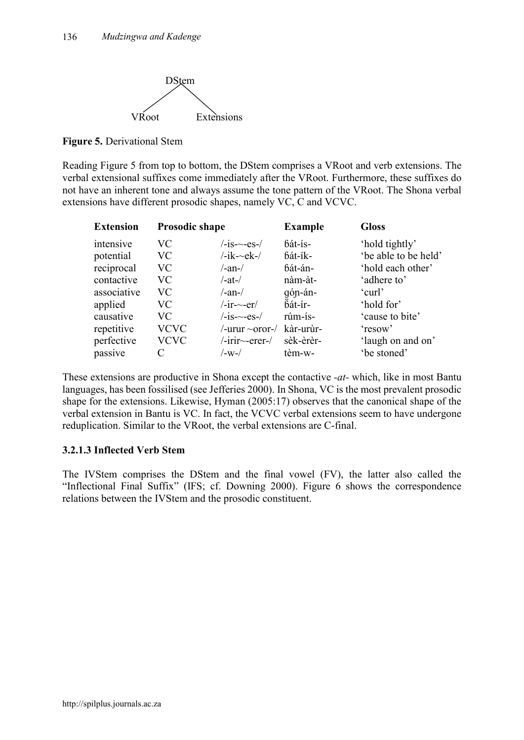

**Figure 5.** Derivational Stem

Reading Figure 5 from top to bottom, the DStem comprises a VRoot and verb extensions. The verbal extensional suffixes come immediately after the VRoot. Furthermore, these suffixes do not have an inherent tone and always assume the tone pattern of the VRoot. The Shona verbal extensions have different prosodic shapes, namely VC, C and VCVC.

| <b>Extension</b> | <b>Prosodic shape</b> |                             | <b>Example</b> | <b>Gloss</b>         |
|------------------|-----------------------|-----------------------------|----------------|----------------------|
| intensive        | VC                    | $\frac{-is}{-es}$           | bát-ís-        | 'hold tightly'       |
| potential        | <b>VC</b>             | $/$ -ik- $\neg$ ek- $/$     | bát-ík-        | 'be able to be held' |
| reciprocal       | VC                    | $/$ -an- $/$                | bát-án-        | 'hold each other'    |
| contactive       | VC                    | $/$ -at- $/$                | nàm-àt-        | 'adhere to'          |
| associative      | VC                    | $/$ -an- $/$                | gón-án-        | 'curl'               |
| applied          | VC                    | $/$ -ir- $\sim$ -er $/$     | bát-ír-        | 'hold for'           |
| causative        | VC                    | $\frac{-is}{-es}$           | rúm-ís-        | 'cause to bite'      |
| repetitive       | <b>VCVC</b>           | /-urur ~oror-/              | kàr-urùr-      | 'resow'              |
| perfective       | <b>VCVC</b>           | $/$ -irir $\sim$ -erer- $/$ | sèk-èrèr-      | 'laugh on and on'    |
| passive          | C                     | /-w-/                       | tèm-w-         | 'be stoned'          |

These extensions are productive in Shona except the contactive *-at-* which, like in most Bantu languages, has been fossilised (see Jefferies 2000). In Shona, VC is the most prevalent prosodic shape for the extensions. Likewise, Hyman (2005:17) observes that the canonical shape of the verbal extension in Bantu is VC. In fact, the VCVC verbal extensions seem to have undergone reduplication. Similar to the VRoot, the verbal extensions are C-final.

# **3.2.1.3 Inflected Verb Stem**

The IVStem comprises the DStem and the final vowel (FV), the latter also called the "Inflectional Final Suffix" (IFS; cf. Downing 2000). Figure 6 shows the correspondence relations between the IVStem and the prosodic constituent.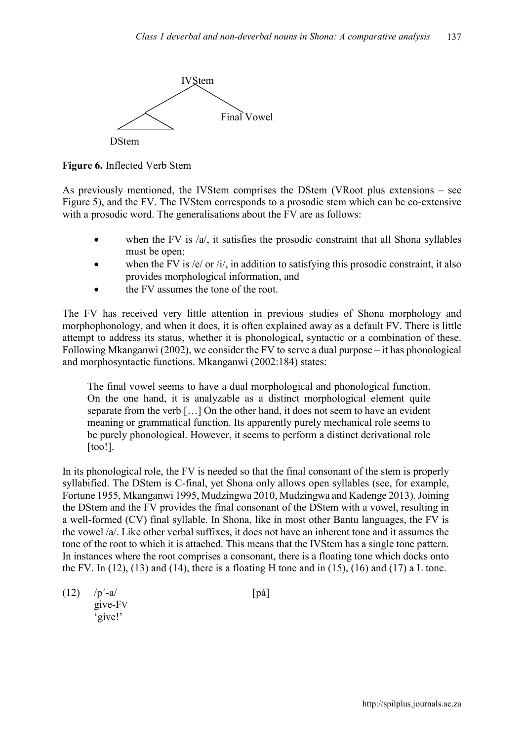

**Figure 6.** Inflected Verb Stem

As previously mentioned, the IVStem comprises the DStem (VRoot plus extensions – see Figure 5), and the FV. The IVStem corresponds to a prosodic stem which can be co-extensive with a prosodic word. The generalisations about the FV are as follows:

- when the FV is  $\alpha$ , it satisfies the prosodic constraint that all Shona syllables must be open;
- when the FV is /e/ or /i/, in addition to satisfying this prosodic constraint, it also provides morphological information, and
- the FV assumes the tone of the root.

The FV has received very little attention in previous studies of Shona morphology and morphophonology, and when it does, it is often explained away as a default FV. There is little attempt to address its status, whether it is phonological, syntactic or a combination of these. Following Mkanganwi (2002), we consider the FV to serve a dual purpose – it has phonological and morphosyntactic functions. Mkanganwi (2002:184) states:

The final vowel seems to have a dual morphological and phonological function. On the one hand, it is analyzable as a distinct morphological element quite separate from the verb […] On the other hand, it does not seem to have an evident meaning or grammatical function. Its apparently purely mechanical role seems to be purely phonological. However, it seems to perform a distinct derivational role [too!].

In its phonological role, the FV is needed so that the final consonant of the stem is properly syllabified. The DStem is C-final, yet Shona only allows open syllables (see, for example, Fortune 1955, Mkanganwi 1995, Mudzingwa 2010, Mudzingwa and Kadenge 2013). Joining the DStem and the FV provides the final consonant of the DStem with a vowel, resulting in a well-formed (CV) final syllable. In Shona, like in most other Bantu languages, the FV is the vowel /a/. Like other verbal suffixes, it does not have an inherent tone and it assumes the tone of the root to which it is attached. This means that the IVStem has a single tone pattern. In instances where the root comprises a consonant, there is a floating tone which docks onto the FV. In  $(12)$ ,  $(13)$  and  $(14)$ , there is a floating H tone and in  $(15)$ ,  $(16)$  and  $(17)$  a L tone.

 $(12)$  /p<sup>'</sup>-a/ [pá] give-FV 'give!'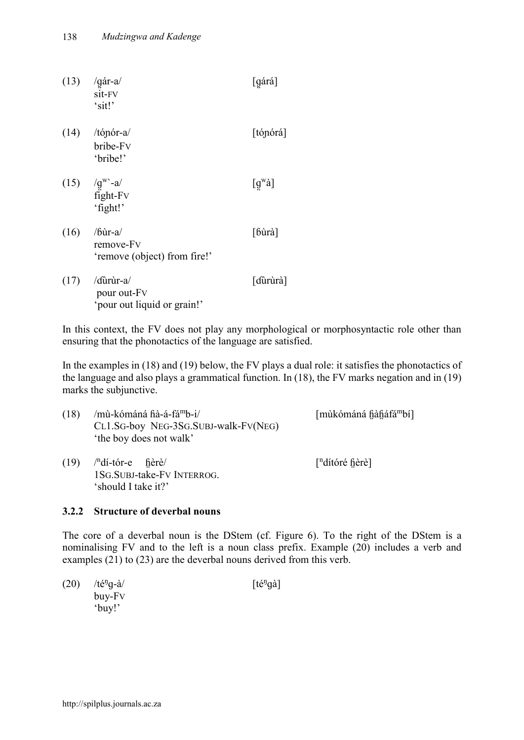|      | $(13)$ /gár-a/<br>sit-FV<br>'sit!'                             | [gárá]               |
|------|----------------------------------------------------------------|----------------------|
|      | $(14)$ /tópór-a/<br>bribe-Fv<br>'bribe!'                       | [tónórá]             |
|      | $(15)$ /g <sup>w</sup> -a/<br>fight-Fv<br>'fight!'             | $[g^{\rm w}\dot{a}]$ |
| (16) | /bùr-a/<br>remove-Fv<br>'remove (object) from fire!'           | [bùrà]               |
|      | $(17)$ /durur-a/<br>pour out-Fv<br>'pour out liquid or grain!' | [dürùrà]             |

In this context, the FV does not play any morphological or morphosyntactic role other than ensuring that the phonotactics of the language are satisfied.

In the examples in (18) and (19) below, the FV plays a dual role: it satisfies the phonotactics of the language and also plays a grammatical function. In (18), the FV marks negation and in (19) marks the subjunctive.

| (18) | /mù-kómáná fià-á-fá <sup>m</sup> b-i/<br>CL1.SG-boy NEG-3SG.SUBJ-walk-FV(NEG)<br>'the boy does not walk' | [mùkómáná fiàfiáfá <sup>m</sup> bí] |
|------|----------------------------------------------------------------------------------------------------------|-------------------------------------|
| (19) | $\sqrt{n}$ dí-tór-e fièrè/<br>1SG.SUBJ-take-FV INTERROG.<br>'should I take it?'                          | $\lceil$ <sup>n</sup> dítóré fièrè] |

# **3.2.2 Structure of deverbal nouns**

The core of a deverbal noun is the DStem (cf. Figure 6). To the right of the DStem is a nominalising FV and to the left is a noun class prefix. Example (20) includes a verb and examples (21) to (23) are the deverbal nouns derived from this verb.

 $(20)$  /té<sup>n</sup>g-à/  $g-\hat{a}$ / [té<sup>ŋ</sup>  $[t\acute{e}^{\eta}q\grave{a}]$ buy-FV 'buy!'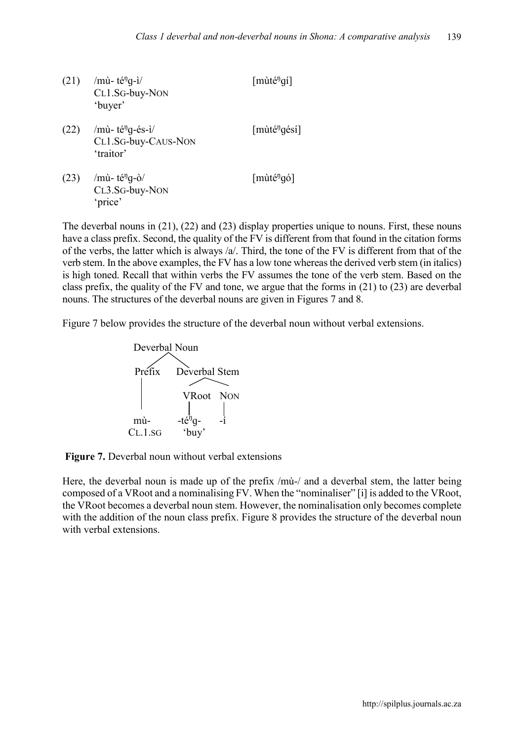$(21)$  /mù- té<sup>n</sup>g-i/  $g$ -ì/ [mùté<sup>ŋ</sup>gí] CL1.SG-buy-NON 'buyer'  $(22)$  /mù- té<sup>n</sup>g-és-ì/ [mùté<sup>n</sup>]  $[m\text{u}t\text{e}^{i\theta}q\text{e}t]$ CL1.SG-buy-CAUS-NON 'traitor'  $(23)$  /mù- té<sup>n</sup>g-ò/  $g$ -ò/ [mùté<sup>ŋ</sup>gó] CL3.SG-buy-NON 'price'

The deverbal nouns in (21), (22) and (23) display properties unique to nouns. First, these nouns have a class prefix. Second, the quality of the FV is different from that found in the citation forms of the verbs, the latter which is always /a/. Third, the tone of the FV is different from that of the verb stem. In the above examples, the FV has a low tone whereas the derived verb stem (in italics) is high toned. Recall that within verbs the FV assumes the tone of the verb stem. Based on the class prefix, the quality of the FV and tone, we argue that the forms in (21) to (23) are deverbal nouns. The structures of the deverbal nouns are given in Figures 7 and 8.

Figure 7 below provides the structure of the deverbal noun without verbal extensions.





Here, the deverbal noun is made up of the prefix /mù-/ and a deverbal stem, the latter being composed of a VRoot and a nominalising FV. When the "nominaliser" [i] is added to the VRoot, the VRoot becomes a deverbal noun stem. However, the nominalisation only becomes complete with the addition of the noun class prefix. Figure 8 provides the structure of the deverbal noun with verbal extensions.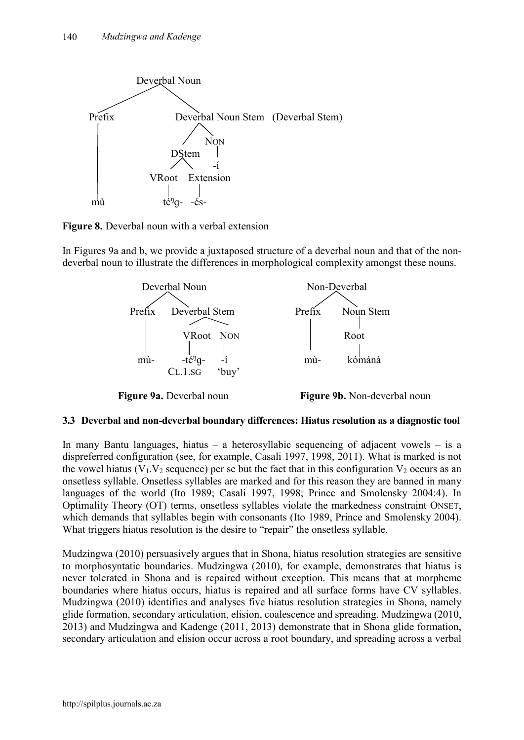

**Figure 8.** Deverbal noun with a verbal extension

In Figures 9a and b, we provide a juxtaposed structure of a deverbal noun and that of the nondeverbal noun to illustrate the differences in morphological complexity amongst these nouns.



# **3.3 Deverbal and non-deverbal boundary differences: Hiatus resolution as a diagnostic tool**

In many Bantu languages, hiatus – a heterosyllabic sequencing of adjacent vowels – is a dispreferred configuration (see, for example, Casali 1997, 1998, 2011). What is marked is not the vowel hiatus ( $V_1$ ,  $V_2$  sequence) per se but the fact that in this configuration  $V_2$  occurs as an onsetless syllable. Onsetless syllables are marked and for this reason they are banned in many languages of the world (Ito 1989; Casali 1997, 1998; Prince and Smolensky 2004:4). In Optimality Theory (OT) terms, onsetless syllables violate the markedness constraint ONSET, which demands that syllables begin with consonants (Ito 1989, Prince and Smolensky 2004). What triggers hiatus resolution is the desire to "repair" the onsetless syllable.

Mudzingwa (2010) persuasively argues that in Shona, hiatus resolution strategies are sensitive to morphosyntatic boundaries. Mudzingwa (2010), for example, demonstrates that hiatus is never tolerated in Shona and is repaired without exception. This means that at morpheme boundaries where hiatus occurs, hiatus is repaired and all surface forms have CV syllables. Mudzingwa (2010) identifies and analyses five hiatus resolution strategies in Shona, namely glide formation, secondary articulation, elision, coalescence and spreading. Mudzingwa (2010, 2013) and Mudzingwa and Kadenge (2011, 2013) demonstrate that in Shona glide formation, secondary articulation and elision occur across a root boundary, and spreading across a verbal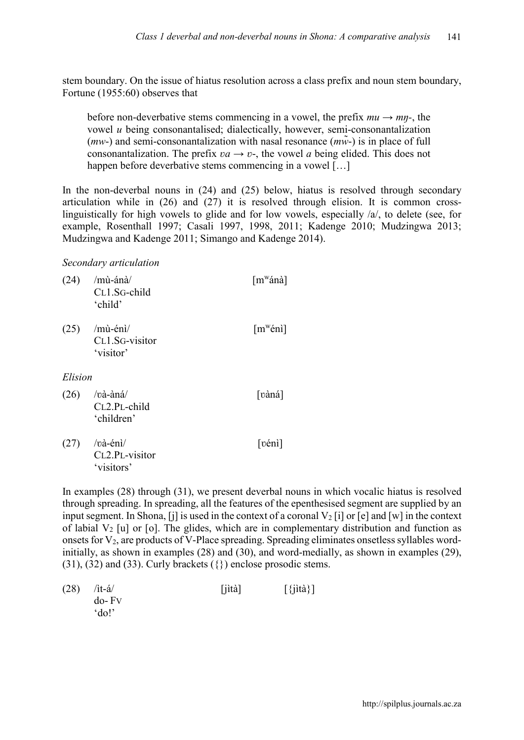stem boundary. On the issue of hiatus resolution across a class prefix and noun stem boundary, Fortune (1955:60) observes that

before non-deverbative stems commencing in a vowel, the prefix  $mu \rightarrow m\eta$ -, the vowel *u* being consonantalised; dialectically, however, semi-consonantalization  $(mw)$  and semi-consonantalization with nasal resonance  $(mw)$  is in place of full consonantalization. The prefix  $va \rightarrow v$ -, the vowel *a* being elided. This does not happen before deverbative stems commencing in a vowel [...]

In the non-deverbal nouns in (24) and (25) below, hiatus is resolved through secondary articulation while in (26) and (27) it is resolved through elision. It is common crosslinguistically for high vowels to glide and for low vowels, especially  $\alpha$ , to delete (see, for example, Rosenthall 1997; Casali 1997, 1998, 2011; Kadenge 2010; Mudzingwa 2013; Mudzingwa and Kadenge 2011; Simango and Kadenge 2014).

#### *Secondary articulation*

| (24)    | /mù-ánà/<br>CL1.SG-child<br>'child'           | [m <sup>w</sup> ánà]           |
|---------|-----------------------------------------------|--------------------------------|
| (25)    | $/$ mù-énì $/$<br>CL1.SG-visitor<br>'visitor' | $\lceil m^w \acute{e}n \rceil$ |
| Elision |                                               |                                |
| (26)    | /và-àná/<br>CL2.PL-child<br>'children'        | [vàná]                         |
| (27)    | /và-énì/<br>CL2.PL-visitor<br>'visitors'      | [vénì]                         |

In examples (28) through (31), we present deverbal nouns in which vocalic hiatus is resolved through spreading. In spreading, all the features of the epenthesised segment are supplied by an input segment. In Shona, [j] is used in the context of a coronal  $V_2$  [i] or [e] and [w] in the context of labial  $V_2$  [u] or [o]. The glides, which are in complementary distribution and function as onsets for  $V_2$ , are products of V-Place spreading. Spreading eliminates onsetless syllables wordinitially, as shown in examples (28) and (30), and word-medially, as shown in examples (29), (31), (32) and (33). Curly brackets ({}) enclose prosodic stems.

| $(28)$ /it-á/ | $[iit\]$ | $[\{\text{jit}\}\}]$ |
|---------------|----------|----------------------|
| $do$ - $Fv$   |          |                      |
| 'do!          |          |                      |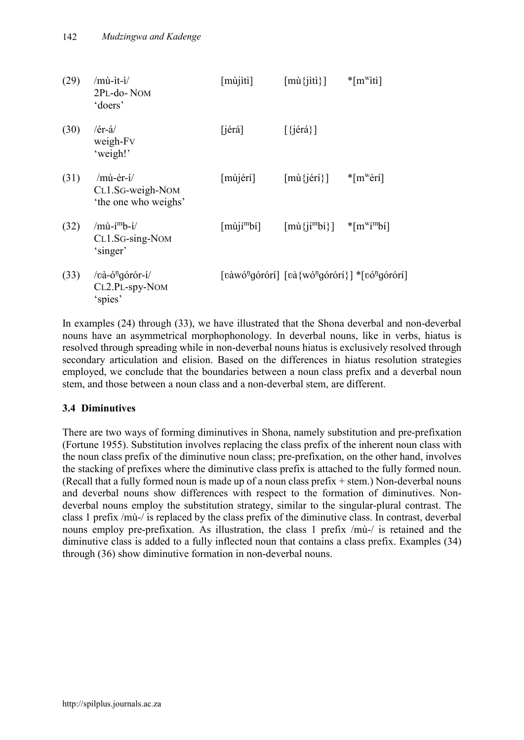| (29) | $/$ mù-ìt-ì $/$<br>2PL-do-NOM<br>doers'                        | $[mu]$ iti]            | $[m\hat{u}^{\text{ij}}]$                                                                              | $*$ [m <sup>w</sup> iti] |
|------|----------------------------------------------------------------|------------------------|-------------------------------------------------------------------------------------------------------|--------------------------|
| (30) | $/er-a$<br>weigh-Fv<br>'weigh!'                                | $[i$ érá]              | $[\{\text{jérá}\}]$                                                                                   |                          |
| (31) | $/m\hat{u}$ -ér-í/<br>CL1.SG-weigh-NOM<br>'the one who weighs' | $[m\`{u}j\`{e}r\`{i}]$ | $\lceil \text{mù}\{\text{jérí}\}\rceil$                                                               | $*$ [m <sup>w</sup> érí] |
| (32) | $/m\hat{u}$ -í $mb$ -í/<br>CL1.SG-sing-NOM<br>'singer'         | $[m\tilde{u}j^m b'_1]$ | $\lceil \text{mi} \{j \cdot m \cdot b \} \rceil$ * $\lceil \text{m}^{\text{w}} \{m \cdot b \} \rceil$ |                          |
| (33) | /và-ó <sup>ŋ</sup> górór-í/<br>CL2.PL-spy-NOM<br>'spies'       |                        | [vàwó <sup>ŋ</sup> górórí] [và{wó <sup>ŋ</sup> górórí}] *[vó <sup>ŋ</sup> górórí]                     |                          |

In examples (24) through (33), we have illustrated that the Shona deverbal and non-deverbal nouns have an asymmetrical morphophonology. In deverbal nouns, like in verbs, hiatus is resolved through spreading while in non-deverbal nouns hiatus is exclusively resolved through secondary articulation and elision. Based on the differences in hiatus resolution strategies employed, we conclude that the boundaries between a noun class prefix and a deverbal noun stem, and those between a noun class and a non-deverbal stem, are different.

# **3.4 Diminutives**

There are two ways of forming diminutives in Shona, namely substitution and pre-prefixation (Fortune 1955). Substitution involves replacing the class prefix of the inherent noun class with the noun class prefix of the diminutive noun class; pre-prefixation, on the other hand, involves the stacking of prefixes where the diminutive class prefix is attached to the fully formed noun. (Recall that a fully formed noun is made up of a noun class prefix + stem.) Non-deverbal nouns and deverbal nouns show differences with respect to the formation of diminutives. Nondeverbal nouns employ the substitution strategy, similar to the singular-plural contrast. The class 1 prefix /mù-/ is replaced by the class prefix of the diminutive class. In contrast, deverbal nouns employ pre-prefixation. As illustration, the class 1 prefix /mù-/ is retained and the diminutive class is added to a fully inflected noun that contains a class prefix. Examples (34) through (36) show diminutive formation in non-deverbal nouns.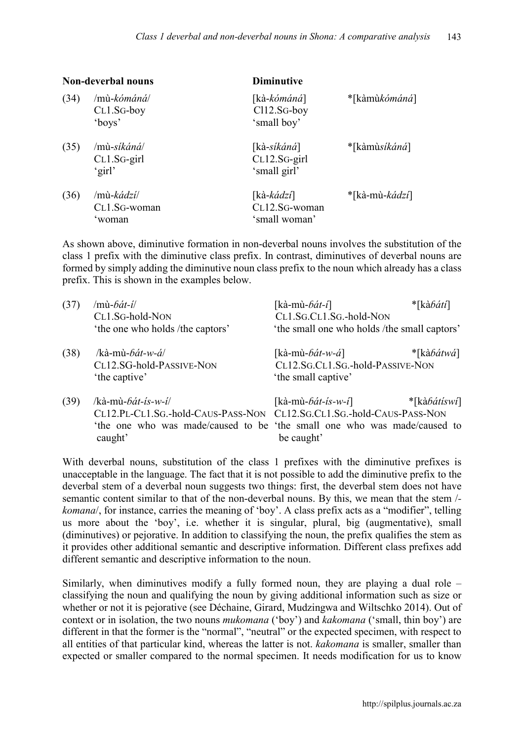| <b>Non-deverbal nouns</b> |                                               | <b>Diminutive</b>                                     |                         |  |
|---------------------------|-----------------------------------------------|-------------------------------------------------------|-------------------------|--|
| (34)                      | $/$ mù-kómáná $/$<br>$CL1.SG-boy$<br>'boys'   | [kà-kómáná]<br>Cl12.SG-boy<br>'small boy'             | *[kàmù <i>kómáná</i> ]  |  |
| (35)                      | $/$ mù-síkáná $/$<br>$CL1.SG$ -girl<br>'girl' | [kà-síkáná]<br>CL12.SG-girl<br>'small girl'           | *[kàmùs <i>ikáná</i> ]  |  |
| (36)                      | /mù- <i>kádzí</i> /<br>CL1.SG-woman<br>woman  | [kà- <i>kádzí</i> ]<br>CL12.SG-woman<br>'small woman' | *[kà-mù- <i>kádzí</i> ] |  |

As shown above, diminutive formation in non-deverbal nouns involves the substitution of the class 1 prefix with the diminutive class prefix. In contrast, diminutives of deverbal nouns are formed by simply adding the diminutive noun class prefix to the noun which already has a class prefix. This is shown in the examples below.

| (37) | $/m\hat{u}$ -bát-í/                                                     | [kà-mù- <i>ɓát-i</i> ]                       | *[kà <i>báti</i> ]    |
|------|-------------------------------------------------------------------------|----------------------------------------------|-----------------------|
|      | CL1.SG-hold-NON                                                         | CL1.SG.CL1.SG.-hold-NON                      |                       |
|      | 'the one who holds /the captors'                                        | 'the small one who holds /the small captors' |                       |
| (38) | /kà-mù- <i>bát-w-á</i> /                                                | [kà-mù- <i>ɓát-w-á</i> ]                     | $*$ [kàbátwá]         |
|      | CL12.SG-hold-PASSIVE-NON                                                | CL12.SG.CL1.SG.-hold-PASSIVE-NON             |                       |
|      | 'the captive'                                                           | 'the small captive'                          |                       |
| (39) | /kà-mù- <i>bát-ís-w-i</i> /                                             | [kà-mù- <i>ɓát-ís-w-í</i> ]                  | *[kà <i>bátíswí</i> ] |
|      | CL12.PL-CL1.SG.-hold-CAUS-PASS-NON CL12.SG.CL1.SG.-hold-CAUS-PASS-NON   |                                              |                       |
|      | the one who was made/caused to be 'the small one who was made/caused to |                                              |                       |
|      | caught'                                                                 | be caught'                                   |                       |

With deverbal nouns, substitution of the class 1 prefixes with the diminutive prefixes is unacceptable in the language. The fact that it is not possible to add the diminutive prefix to the deverbal stem of a deverbal noun suggests two things: first, the deverbal stem does not have semantic content similar to that of the non-deverbal nouns. By this, we mean that the stem / *komana*, for instance, carries the meaning of 'boy'. A class prefix acts as a "modifier", telling us more about the 'boy', i.e. whether it is singular, plural, big (augmentative), small (diminutives) or pejorative. In addition to classifying the noun, the prefix qualifies the stem as it provides other additional semantic and descriptive information. Different class prefixes add different semantic and descriptive information to the noun.

Similarly, when diminutives modify a fully formed noun, they are playing a dual role  $$ classifying the noun and qualifying the noun by giving additional information such as size or whether or not it is pejorative (see Déchaine, Girard, Mudzingwa and Wiltschko 2014). Out of context or in isolation, the two nouns *mukomana* ('boy') and *kakomana* ('small, thin boy') are different in that the former is the "normal", "neutral" or the expected specimen, with respect to all entities of that particular kind, whereas the latter is not. *kakomana* is smaller, smaller than expected or smaller compared to the normal specimen. It needs modification for us to know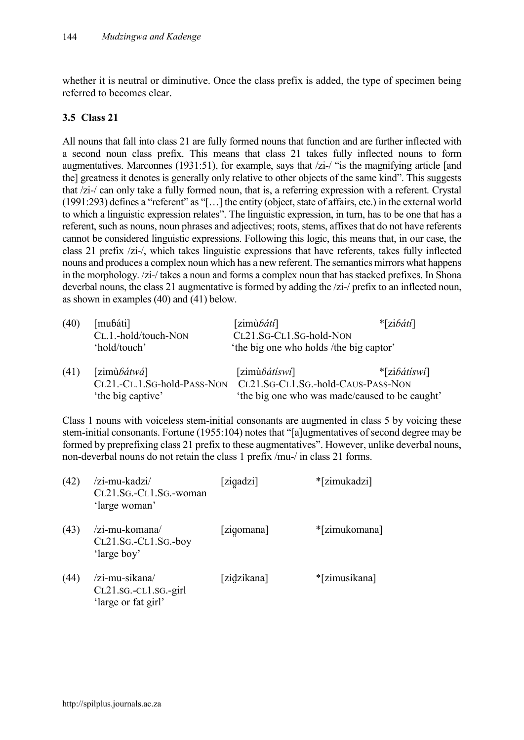whether it is neutral or diminutive. Once the class prefix is added, the type of specimen being referred to becomes clear.

### **3.5 Class 21**

All nouns that fall into class 21 are fully formed nouns that function and are further inflected with a second noun class prefix. This means that class 21 takes fully inflected nouns to form augmentatives. Marconnes (1931:51), for example, says that /zi-/ "is the magnifying article [and the] greatness it denotes is generally only relative to other objects of the same kind". This suggests that /zi-/ can only take a fully formed noun, that is, a referring expression with a referent. Crystal (1991:293) defines a "referent" as "[…] the entity (object, state of affairs, etc.) in the external world to which a linguistic expression relates". The linguistic expression, in turn, has to be one that has a referent, such as nouns, noun phrases and adjectives; roots, stems, affixes that do not have referents cannot be considered linguistic expressions. Following this logic, this means that, in our case, the class 21 prefix /zi-/, which takes linguistic expressions that have referents, takes fully inflected nouns and produces a complex noun which has a new referent. The semantics mirrors what happens in the morphology. /zi-/ takes a noun and forms a complex noun that has stacked prefixes. In Shona deverbal nouns, the class 21 augmentative is formed by adding the  $\ell z$ i- $\ell$  prefix to an inflected noun, as shown in examples (40) and (41) below.

| (40) | [muɓáti]                    | [zimù $\delta \hat{a} t \hat{\imath}$ ]        | $\mathbf{z}[z]$ ibátí |  |
|------|-----------------------------|------------------------------------------------|-----------------------|--|
|      | CL.1.-hold/touch-NON        | CL21.SG-CL1.SG-hold-NON                        |                       |  |
|      | 'hold/touch'                | the big one who holds /the big captor'         |                       |  |
| (41) | [zimù $b$ átwá]             | [zimù $b$ átíswí]                              | $*$ [zibátíswí]       |  |
|      | CL21.-CL.1.SG-hold-PASS-NON | CL21.SG-CL1.SG.-hold-CAUS-PASS-NON             |                       |  |
|      | 'the big captive'           | 'the big one who was made/caused to be caught' |                       |  |

Class 1 nouns with voiceless stem-initial consonants are augmented in class 5 by voicing these stem-initial consonants. Fortune (1955:104) notes that "[a]ugmentatives of second degree may be formed by preprefixing class 21 prefix to these augmentatives". However, unlike deverbal nouns, non-deverbal nouns do not retain the class 1 prefix /mu-/ in class 21 forms.

| (42) | /zi-mu-kadzi/<br>CL21.SG.-CL1.SG.-woman<br>'large woman'       | [zigadzi]   | *[zimukadzi]  |
|------|----------------------------------------------------------------|-------------|---------------|
| (43) | /zi-mu-komana/<br>$CL21.SG.-CL1.SG.-boy$<br>'large boy'        | [zigomana]  | *[zimukomana] |
| (44) | /zi-mu-sikana/<br>CL21.sG.-CL1.sG.-girl<br>'large or fat girl' | [zidzikana] | *[zimusikana] |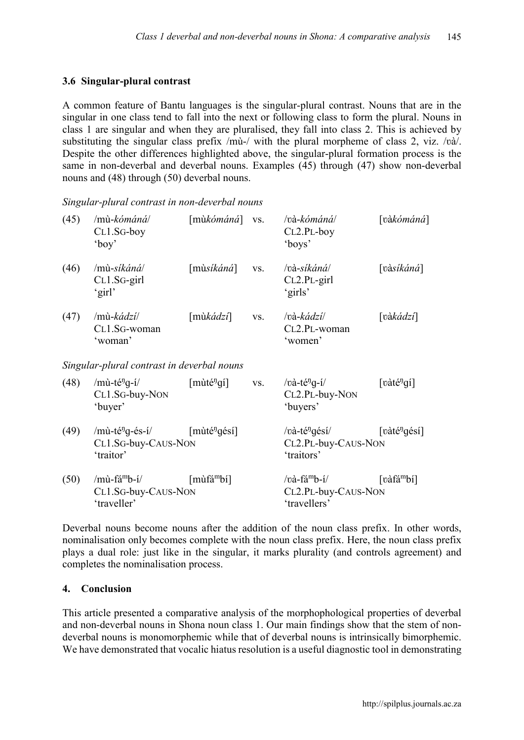### **3.6 Singular-plural contrast**

A common feature of Bantu languages is the singular-plural contrast. Nouns that are in the singular in one class tend to fall into the next or following class to form the plural. Nouns in class 1 are singular and when they are pluralised, they fall into class 2. This is achieved by substituting the singular class prefix /mù-/ with the plural morpheme of class 2, viz. /và/. Despite the other differences highlighted above, the singular-plural formation process is the same in non-deverbal and deverbal nouns. Examples (45) through (47) show non-deverbal nouns and (48) through (50) deverbal nouns.

| (45) | /mù-kómáná/<br>CL1.SG-boy<br>$'$ boy'                                | $[m\&\acute{o}m\acute{a}n\acute{a}]$       | VS. | /và-kómáná/<br>$CL2.PL-boy$<br>'boys'                                    | [vàkómáná]               |
|------|----------------------------------------------------------------------|--------------------------------------------|-----|--------------------------------------------------------------------------|--------------------------|
| (46) | /mù-síkáná/<br>CL1.SG-girl<br>'girl'                                 | $[m\$ i <i>k</i> áná]                      | VS. | /và-síkáná/<br>CL2.PL-girl<br>'girls'                                    | [vàsikáná]               |
| (47) | /mù- <i>kádzí</i> /<br>CL1.SG-woman<br>'woman'                       | $[m\ddot{\omega}k\dot{a}dzi]$              | VS. | /và-kádzí/<br>CL2.PL-woman<br>'women'                                    | [và $k\acute{a}dzi$ ]    |
|      | Singular-plural contrast in deverbal nouns                           |                                            |     |                                                                          |                          |
| (48) | $/$ mù-té <sup>n</sup> g-í $/$<br>CL1.SG-buy-NON<br>'buyer'          | $[m\text{ut\'e}^{\eta}q\text{\'i}]$        | VS. | / $v\hat{a}$ -té <sup>n</sup> g-í/<br>CL2.PL-buy-NON<br>'buyers'         | [vàté <sup>n</sup> gí]   |
| (49) | $/m\`u$ -té <sup>n</sup> g-és-í/<br>CL1.SG-buy-CAUS-NON<br>'traitor' | $[m\text{u}t\text{e}^{i\theta}q\text{e}t]$ |     | /và-té <sup>ŋ</sup> qésí/<br>CL2.PL-buy-CAUS-NON<br>'traitors'           | [vàté <sup>n</sup> gésí] |
| (50) | /mù-fá <sup>m</sup> b-í/<br>CL1.SG-buy-CAUS-NON<br>'traveller'       | $[m\hat{u}f\hat{a}^mbi]$                   |     | $\sqrt{v}$ à-fá <sup>m</sup> b-í/<br>CL2.PL-buy-CAUS-NON<br>'travellers' | [vàfá <sup>m</sup> bí]   |

*Singular-plural contrast in non-deverbal nouns*

Deverbal nouns become nouns after the addition of the noun class prefix. In other words, nominalisation only becomes complete with the noun class prefix. Here, the noun class prefix plays a dual role: just like in the singular, it marks plurality (and controls agreement) and completes the nominalisation process.

#### **4. Conclusion**

This article presented a comparative analysis of the morphophological properties of deverbal and non-deverbal nouns in Shona noun class 1. Our main findings show that the stem of nondeverbal nouns is monomorphemic while that of deverbal nouns is intrinsically bimorphemic. We have demonstrated that vocalic hiatus resolution is a useful diagnostic tool in demonstrating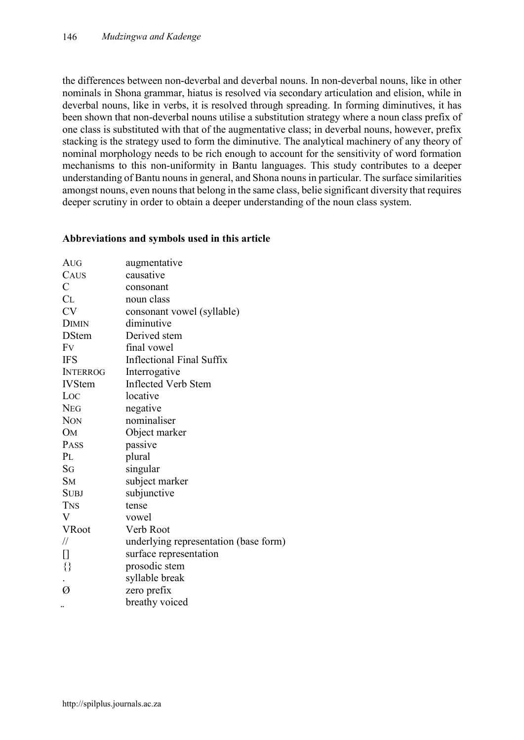the differences between non-deverbal and deverbal nouns. In non-deverbal nouns, like in other nominals in Shona grammar, hiatus is resolved via secondary articulation and elision, while in deverbal nouns, like in verbs, it is resolved through spreading. In forming diminutives, it has been shown that non-deverbal nouns utilise a substitution strategy where a noun class prefix of one class is substituted with that of the augmentative class; in deverbal nouns, however, prefix stacking is the strategy used to form the diminutive. The analytical machinery of any theory of nominal morphology needs to be rich enough to account for the sensitivity of word formation mechanisms to this non-uniformity in Bantu languages. This study contributes to a deeper understanding of Bantu nouns in general, and Shona nounsin particular. The surface similarities amongst nouns, even nouns that belong in the same class, belie significant diversity that requires deeper scrutiny in order to obtain a deeper understanding of the noun class system.

### **Abbreviations and symbols used in this article**

| AUG             | augmentative                          |
|-----------------|---------------------------------------|
| CAUS            | causative                             |
| $\mathcal{C}$   | consonant                             |
| CL              | noun class                            |
| <b>CV</b>       | consonant vowel (syllable)            |
| <b>DIMIN</b>    | diminutive                            |
| <b>DStem</b>    | Derived stem                          |
| Fv              | final vowel                           |
| <b>IFS</b>      | Inflectional Final Suffix             |
| <b>INTERROG</b> | Interrogative                         |
| <b>IVStem</b>   | <b>Inflected Verb Stem</b>            |
| Loc             | locative                              |
| <b>NEG</b>      | negative                              |
| <b>NON</b>      | nominaliser                           |
| <b>OM</b>       | Object marker                         |
| PASS            | passive                               |
| PL              | plural                                |
| SG              | singular                              |
| <b>SM</b>       | subject marker                        |
| <b>SUBJ</b>     | subjunctive                           |
| <b>TNS</b>      | tense                                 |
| V               | vowel                                 |
| <b>VRoot</b>    | Verb Root                             |
| $\frac{1}{2}$   | underlying representation (base form) |
| 0               | surface representation                |
| $\{\}$          | prosodic stem                         |
|                 | syllable break                        |
| Ø               | zero prefix                           |
|                 | breathy voiced                        |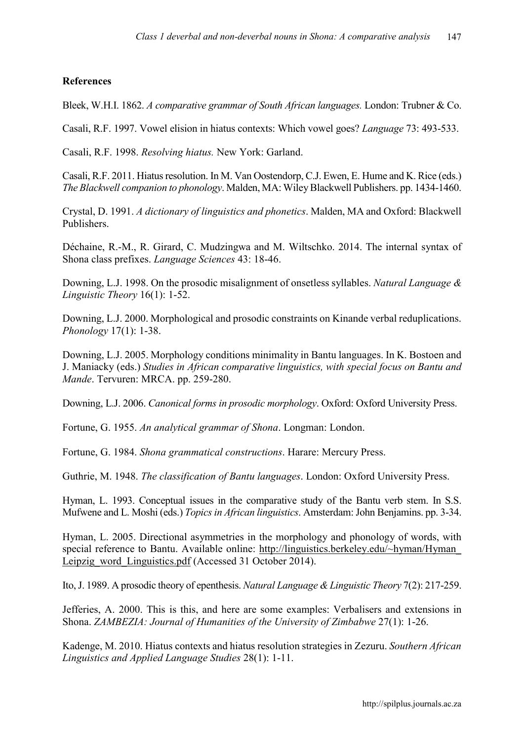### **References**

Bleek, W.H.I. 1862. *A comparative grammar of South African languages.* London: Trubner & Co.

Casali, R.F. 1997. Vowel elision in hiatus contexts: Which vowel goes? *Language* 73: 493-533.

Casali, R.F. 1998. *Resolving hiatus.* New York: Garland.

Casali, R.F. 2011. Hiatus resolution. In M. Van Oostendorp, C.J. Ewen, E. Hume and K. Rice (eds.) *The Blackwell companion to phonology*. Malden, MA: Wiley Blackwell Publishers. pp. 1434-1460.

Crystal, D. 1991. *A dictionary of linguistics and phonetics*. Malden, MA and Oxford: Blackwell Publishers.

Déchaine, R.-M., R. Girard, C. Mudzingwa and M. Wiltschko. 2014. The internal syntax of Shona class prefixes. *Language Sciences* 43: 18-46.

Downing, L.J. 1998. On the prosodic misalignment of onsetless syllables. *Natural Language & Linguistic Theory* 16(1): 1-52.

Downing, L.J. 2000. Morphological and prosodic constraints on Kinande verbal reduplications. *Phonology* 17(1): 1-38.

Downing, L.J. 2005. Morphology conditions minimality in Bantu languages. In K. Bostoen and J. Maniacky (eds.) *Studies in African comparative linguistics, with special focus on Bantu and Mande*. Tervuren: MRCA. pp. 259-280.

Downing, L.J. 2006. *Canonical forms in prosodic morphology*. Oxford: Oxford University Press.

Fortune, G. 1955. *An analytical grammar of Shona*. Longman: London.

Fortune, G. 1984. *Shona grammatical constructions*. Harare: Mercury Press.

Guthrie, M. 1948. *The classification of Bantu languages*. London: Oxford University Press.

Hyman, L. 1993. Conceptual issues in the comparative study of the Bantu verb stem. In S.S. Mufwene and L. Moshi (eds.) *Topics in African linguistics*. Amsterdam: John Benjamins. pp. 3-34.

Hyman, L. 2005. Directional asymmetries in the morphology and phonology of words, with special reference to Bantu. Available online: [http://linguistics.berkeley.edu/~hyman/Hyman\\_](http://linguistics.berkeley.edu/~hyman/Hyman_ Leipzig_word_Linguistics.pdf)  [Leipzig\\_word\\_Linguistics.pdf](http://linguistics.berkeley.edu/~hyman/Hyman_ Leipzig_word_Linguistics.pdf) (Accessed 31 October 2014).

Ito, J. 1989. A prosodic theory of epenthesis. *Natural Language & Linguistic Theory* 7(2): 217-259.

Jefferies, A. 2000. This is this, and here are some examples: Verbalisers and extensions in Shona. *ZAMBEZIA: Journal of Humanities of the University of Zimbabwe* 27(1): 1-26.

Kadenge, M. 2010. Hiatus contexts and hiatus resolution strategies in Zezuru. *Southern African Linguistics and Applied Language Studies* 28(1): 1-11.